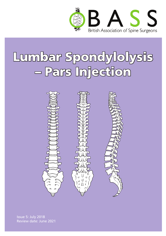

# Lumbar Spondylolysis – Pars Injection



Issue 5: July 2018 Review date: June 2021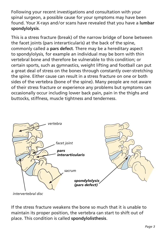Following your recent investigations and consultation with your spinal surgeon, a possible cause for your symptoms may have been found. Your X-rays and/or scans have revealed that you have a **lumbar spondylolysis**.

This is a stress fracture (break) of the narrow bridge of bone between the facet joints (pars interarticularis) at the back of the spine, commonly called a **pars defect**. There may be a hereditary aspect to spondylolysis, for example an individual may be born with thin vertebral bone and therefore be vulnerable to this condition; or certain sports, such as gymnastics, weight lifting and football can put a great deal of stress on the bones through constantly over-stretching the spine. Either cause can result in a stress fracture on one or both sides of the vertebra (bone of the spine). Many people are not aware of their stress fracture or experience any problems but symptoms can occasionally occur including lower back pain, pain in the thighs and buttocks, stiffness, muscle tightness and tenderness.



*intervertebral disc*

If the stress fracture weakens the bone so much that it is unable to maintain its proper position, the vertebra can start to shift out of place. This condition is called **spondylolisthesis**.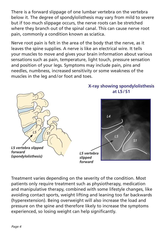There is a forward slippage of one lumbar vertebra on the vertebra below it. The degree of spondylolisthesis may vary from mild to severe but if too much slippage occurs, the nerve roots can be stretched where they branch out of the spinal canal. This can cause nerve root pain, commonly a condition known as sciatica.

Nerve root pain is felt in the area of the body that the nerve, as it leaves the spine supplies. A nerve is like an electrical wire. It tells your muscles to move and gives your brain information about various sensations such as pain, temperature, light touch, pressure sensation and position of your legs. Symptoms may include pain, pins and needles, numbness, increased sensitivity or some weakness of the muscles in the leg and/or foot and toes.



**X-ray showing spondylolisthesis** 

Treatment varies depending on the severity of the condition. Most patients only require treatment such as physiotherapy, medication and manipulative therapy, combined with some lifestyle changes, like avoiding contact sports, weight lifting and leaning too far backwards (hyperextension). Being overweight will also increase the load and pressure on the spine and therefore likely to increase the symptoms experienced, so losing weight can help significantly.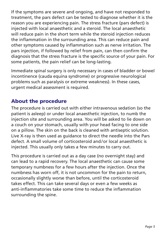If the symptoms are severe and ongoing, and have not responded to treatment, the pars defect can be tested to diagnose whether it is the reason you are experiencing pain. The stress fracture (pars defect) is injected with local anaesthetic and a steroid. The local anaesthetic will reduce pain in the short term while the steroid injection reduces the inflammation in the surrounding area. This can reduce pain and other symptoms caused by inflammation such as nerve irritation. The pars injection, if followed by relief from pain, can then confirm the diagnosis that the stress fracture is the specific source of your pain. For some patients, the pain relief can be long-lasting.

Immediate spinal surgery is only necessary in cases of bladder or bowel incontinence (cauda equina syndrome) or progressive neurological problems such as paralysis or extreme weakness). In these cases, urgent medical assessment is required.

### About the procedure

The procedure is carried out with either intravenous sedation (so the patient is asleep) or under local anaesthetic injection, to numb the injection site and surrounding area. You will be asked to lie down on a couch on your stomach, usually with your head facing to one side on a pillow. The skin on the back is cleaned with antiseptic solution. Live X-ray is then used as guidance to direct the needle into the Pars defect. A small volume of corticosteroid and/or local anaesthetic is injected. This usually only takes a few minutes to carry out.

This procedure is carried out as a day case (no overnight stay) and can lead to a rapid recovery. The local anaesthetic can cause some temporary numbness for a few hours after the injection. Once the numbness has worn off, it is not uncommon for the pain to return, occasionally slightly worse than before, until the corticosteroid takes effect. This can take several days or even a few weeks as anti-inflammatories take some time to reduce the inflammation surrounding the spine.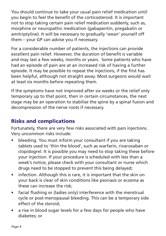You should continue to take your usual pain relief medication until you begin to feel the benefit of the corticosteroid. It is important not to stop taking certain pain relief medication suddenly, such as, morphine or neuropathic medication (gabapentin, pregabalin or amitriptyline). It will be necessary to gradually 'wean' yourself off them – your GP can advise you if necessary.

For a considerable number of patients, the injections can provide excellent pain relief. However, the duration of benefit is variable and may last a few weeks, months or years. Some patients who have had an episode of pain are at an increased risk of having a further episode. It may be possible to repeat the injections, if the first has been helpful, although not straight away. Most surgeons would wait at least six months before repeating them.

If the symptoms have not improved after six weeks or the relief only temporary up to that point, then in certain circumstances, the next stage may be an operation to stabilise the spine by a spinal fusion and decompression of the nerve roots if necessary.

## Risks and complications

Fortunately, there are very few risks associated with pars injections. Very uncommon risks include:

- bleeding. You must inform your consultant if you are taking tablets used to 'thin the blood', such as warfarin, rivaroxaban or clopidogrel. It is possible you may need to stop taking these before your injection. If your procedure is scheduled with less than a week's notice, please check with your consultant or nurse which drugs need to be stopped to prevent this being delayed;
- infection. Although this is rare, it is important that the skin on your back is clear of skin conditions like psoriasis or eczema as these can increase the risk;
- facial flushing or (ladies only) interference with the menstrual cycle or post-menopausal bleeding. This can be a temporary side effect of the steroid;
- a rise in blood sugar levels for a few days for people who have diabetes; or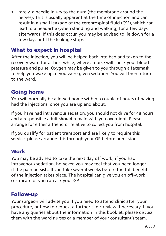• rarely, a needle injury to the dura (the membrane around the nerves). This is usually apparent at the time of injection and can result in a small leakage of the cerebrospinal fluid (CSF), which can lead to a headache (when standing and walking) for a few days afterwards. If this does occur, you may be advised to lie down for a few days until the leakage stops.

#### What to expect in hospital

After the injection, you will be helped back into bed and taken to the recovery ward for a short while, where a nurse will check your blood pressure and pulse. Oxygen may be given to you through a facemask to help you wake up, if you were given sedation. You will then return to the ward.

#### Going home

You will normally be allowed home within a couple of hours of having had the injections, once you are up and about.

If you have had intravenous sedation, you should not drive for 48 hours and a responsible adult **should** remain with you overnight. Please arrange for either a friend or relative to collect you from hospital.

If you qualify for patient transport and are likely to require this service, please arrange this through your GP before admission.

#### Work

You may be advised to take the next day off work, if you had intravenous sedation, however, you may feel that you need longer if the pain persists. It can take several weeks before the full benefit of the injection takes place. The hospital can give you an off-work certificate or you can ask your GP.

#### Follow-up

Your surgeon will advise you if you need to attend clinic after your procedure, or how to request a further clinic review if necessary. If you have any queries about the information in this booklet, please discuss them with the ward nurses or a member of your consultant's team.